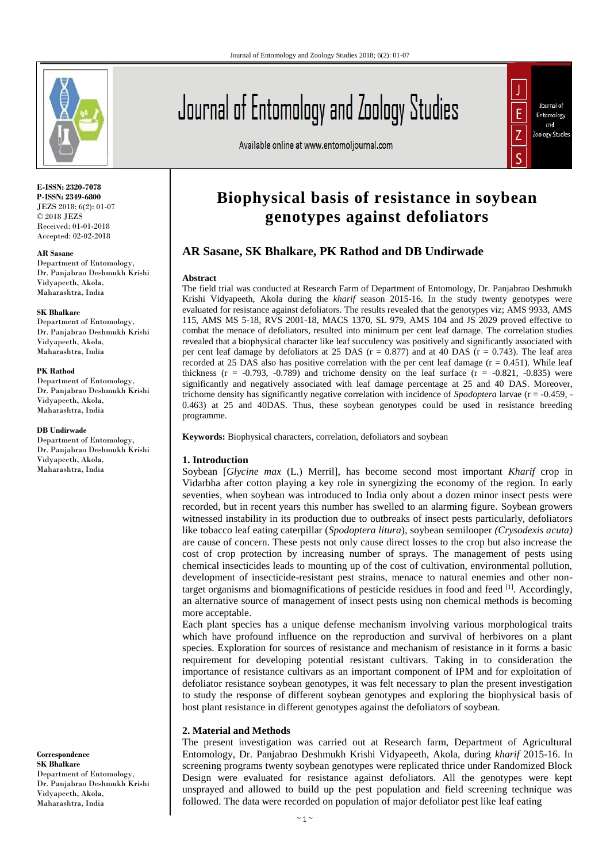

**E-ISSN: 2320-7078 P-ISSN: 2349-6800** JEZS 2018; 6(2): 01-07 © 2018 JEZS Received: 01-01-2018 Accepted: 02-02-2018

#### **AR Sasane**

Department of Entomology, Dr. Panjabrao Deshmukh Krishi Vidyapeeth, Akola, Maharashtra, India

#### **SK Bhalkare**

Department of Entomology, Dr. Panjabrao Deshmukh Krishi Vidyapeeth, Akola, Maharashtra, India

#### **PK Rathod**

Department of Entomology, Dr. Panjabrao Deshmukh Krishi Vidyapeeth, Akola, Maharashtra, India

#### **DB Undirwade**

Department of Entomology, Dr. Panjabrao Deshmukh Krishi Vidyapeeth, Akola, Maharashtra, India

**Correspondence SK Bhalkare**  Department of Entomology, Dr. Panjabrao Deshmukh Krishi Vidyapeeth, Akola, Maharashtra, India



Available online at www.entomoljournal.com



# **Biophysical basis of resistance in soybean genotypes against defoliators**

## **AR Sasane, SK Bhalkare, PK Rathod and DB Undirwade**

#### **Abstract**

The field trial was conducted at Research Farm of Department of Entomology, Dr. Panjabrao Deshmukh Krishi Vidyapeeth, Akola during the *kharif* season 2015-16. In the study twenty genotypes were evaluated for resistance against defoliators. The results revealed that the genotypes viz; AMS 9933, AMS 115, AMS MS 5-18, RVS 2001-18, MACS 1370, SL 979, AMS 104 and JS 2029 proved effective to combat the menace of defoliators, resulted into minimum per cent leaf damage. The correlation studies revealed that a biophysical character like leaf succulency was positively and significantly associated with per cent leaf damage by defoliators at 25 DAS ( $r = 0.877$ ) and at 40 DAS ( $r = 0.743$ ). The leaf area recorded at 25 DAS also has positive correlation with the per cent leaf damage ( $r = 0.451$ ). While leaf thickness ( $r = -0.793$ ,  $-0.789$ ) and trichome density on the leaf surface ( $r = -0.821$ ,  $-0.835$ ) were significantly and negatively associated with leaf damage percentage at 25 and 40 DAS. Moreover, trichome density has significantly negative correlation with incidence of *Spodoptera* larvae (r = -0.459, - 0.463) at 25 and 40DAS. Thus, these soybean genotypes could be used in resistance breeding programme.

**Keywords:** Biophysical characters, correlation, defoliators and soybean

#### **1. Introduction**

Soybean [*Glycine max* (L.) Merril], has become second most important *Kharif* crop in Vidarbha after cotton playing a key role in synergizing the economy of the region. In early seventies, when soybean was introduced to India only about a dozen minor insect pests were recorded, but in recent years this number has swelled to an alarming figure. Soybean growers witnessed instability in its production due to outbreaks of insect pests particularly, defoliators like tobacco leaf eating caterpillar (*Spodoptera litura*), soybean semilooper *(Crysodexis acuta)* are cause of concern. These pests not only cause direct losses to the crop but also increase the cost of crop protection by increasing number of sprays. The management of pests using chemical insecticides leads to mounting up of the cost of cultivation, environmental pollution, development of insecticide-resistant pest strains, menace to natural enemies and other nontarget organisms and biomagnifications of pesticide residues in food and feed  $\left[1\right]$ . Accordingly, an alternative source of management of insect pests using non chemical methods is becoming more acceptable.

Each plant species has a unique defense mechanism involving various morphological traits which have profound influence on the reproduction and survival of herbivores on a plant species. Exploration for sources of resistance and mechanism of resistance in it forms a basic requirement for developing potential resistant cultivars. Taking in to consideration the importance of resistance cultivars as an important component of IPM and for exploitation of defoliator resistance soybean genotypes, it was felt necessary to plan the present investigation to study the response of different soybean genotypes and exploring the biophysical basis of host plant resistance in different genotypes against the defoliators of soybean.

#### **2. Material and Methods**

The present investigation was carried out at Research farm, Department of Agricultural Entomology, Dr. Panjabrao Deshmukh Krishi Vidyapeeth, Akola, during *kharif* 2015-16. In screening programs twenty soybean genotypes were replicated thrice under Randomized Block Design were evaluated for resistance against defoliators. All the genotypes were kept unsprayed and allowed to build up the pest population and field screening technique was followed. The data were recorded on population of major defoliator pest like leaf eating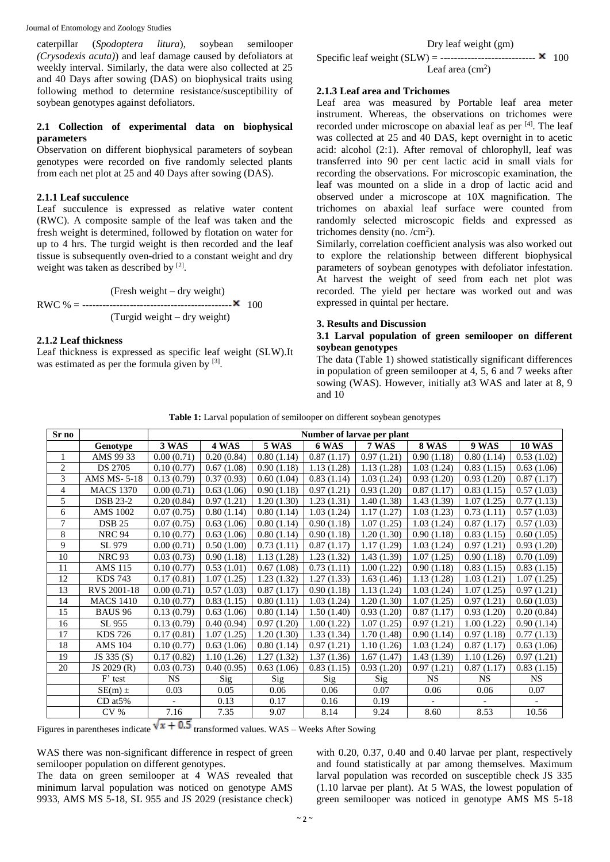Journal of Entomology and Zoology Studies

caterpillar (*Spodoptera litura*), soybean semilooper *(Crysodexis acuta)*) and leaf damage caused by defoliators at weekly interval. Similarly, the data were also collected at 25 and 40 Days after sowing (DAS) on biophysical traits using following method to determine resistance/susceptibility of soybean genotypes against defoliators.

#### **2.1 Collection of experimental data on biophysical parameters**

Observation on different biophysical parameters of soybean genotypes were recorded on five randomly selected plants from each net plot at 25 and 40 Days after sowing (DAS).

#### **2.1.1 Leaf succulence**

Leaf succulence is expressed as relative water content (RWC). A composite sample of the leaf was taken and the fresh weight is determined, followed by flotation on water for up to 4 hrs. The turgid weight is then recorded and the leaf tissue is subsequently oven-dried to a constant weight and dry weight was taken as described by  $[2]$ .

$$
RWC % = \frac{Fresh weight - dry weight)}{(Turgid weight - dry weight)}
$$
 100

#### **2.1.2 Leaf thickness**

Leaf thickness is expressed as specific leaf weight (SLW).It was estimated as per the formula given by [3].

#### Dry leaf weight (gm)

Specific leaf weight  $(SLW)$  = ------------------------------  $\times$  100 Leaf area  $\text{(cm}^2\text{)}$ 

#### **2.1.3 Leaf area and Trichomes**

Leaf area was measured by Portable leaf area meter instrument. Whereas, the observations on trichomes were recorded under microscope on abaxial leaf as per [4]. The leaf was collected at 25 and 40 DAS, kept overnight in to acetic acid: alcohol (2:1). After removal of chlorophyll, leaf was transferred into 90 per cent lactic acid in small vials for recording the observations. For microscopic examination, the leaf was mounted on a slide in a drop of lactic acid and observed under a microscope at  $10X$  magnification. The trichomes on abaxial leaf surface were counted from randomly selected microscopic fields and expressed as trichomes density (no.  $/cm<sup>2</sup>$ ).

Similarly, correlation coefficient analysis was also worked out to explore the relationship between different biophysical parameters of soybean genotypes with defoliator infestation. At harvest the weight of seed from each net plot was recorded. The yield per hectare was worked out and was expressed in quintal per hectare.

## **3. Results and Discussion**

#### **3.1 Larval population of green semilooper on different soybean genotypes**

The data (Table 1) showed statistically significant differences in population of green semilooper at 4, 5, 6 and 7 weeks after sowing (WAS). However, initially at3 WAS and later at 8, 9 and 10

| Sr no          |                  | Number of larvae per plant |            |            |            |            |            |              |               |  |
|----------------|------------------|----------------------------|------------|------------|------------|------------|------------|--------------|---------------|--|
|                | Genotype         | 3 WAS                      | 4 WAS      | 5 WAS      | 6 WAS      | 7 WAS      | 8 WAS      | <b>9 WAS</b> | <b>10 WAS</b> |  |
| 1              | AMS 99 33        | 0.00(0.71)                 | 0.20(0.84) | 0.80(1.14) | 0.87(1.17) | 0.97(1.21) | 0.90(1.18) | 0.80(1.14)   | 0.53(1.02)    |  |
| $\overline{c}$ | <b>DS 2705</b>   | 0.10(0.77)                 | 0.67(1.08) | 0.90(1.18) | 1.13(1.28) | 1.13(1.28) | 1.03(1.24) | 0.83(1.15)   | 0.63(1.06)    |  |
| 3              | AMS MS-5-18      | 0.13(0.79)                 | 0.37(0.93) | 0.60(1.04) | 0.83(1.14) | 1.03(1.24) | 0.93(1.20) | 0.93(1.20)   | 0.87(1.17)    |  |
| 4              | <b>MACS 1370</b> | 0.00(0.71)                 | 0.63(1.06) | 0.90(1.18) | 0.97(1.21) | 0.93(1.20) | 0.87(1.17) | 0.83(1.15)   | 0.57(1.03)    |  |
| 5              | <b>DSB 23-2</b>  | 0.20(0.84)                 | 0.97(1.21) | 1.20(1.30) | 1.23(1.31) | 1.40(1.38) | 1.43(1.39) | 1.07(1.25)   | 0.77(1.13)    |  |
| 6              | AMS 1002         | 0.07(0.75)                 | 0.80(1.14) | 0.80(1.14) | 1.03(1.24) | 1.17(1.27) | 1.03(1.23) | 0.73(1.11)   | 0.57(1.03)    |  |
| 7              | <b>DSB 25</b>    | 0.07(0.75)                 | 0.63(1.06) | 0.80(1.14) | 0.90(1.18) | 1.07(1.25) | 1.03(1.24) | 0.87(1.17)   | 0.57(1.03)    |  |
| 8              | <b>NRC 94</b>    | 0.10(0.77)                 | 0.63(1.06) | 0.80(1.14) | 0.90(1.18) | 1.20(1.30) | 0.90(1.18) | 0.83(1.15)   | 0.60(1.05)    |  |
| 9              | SL 979           | 0.00(0.71)                 | 0.50(1.00) | 0.73(1.11) | 0.87(1.17) | 1.17(1.29) | 1.03(1.24) | 0.97(1.21)   | 0.93(1.20)    |  |
| 10             | <b>NRC 93</b>    | 0.03(0.73)                 | 0.90(1.18) | 1.13(1.28) | 1.23(1.32) | 1.43(1.39) | 1.07(1.25) | 0.90(1.18)   | 0.70(1.09)    |  |
| 11             | AMS 115          | 0.10(0.77)                 | 0.53(1.01) | 0.67(1.08) | 0.73(1.11) | 1.00(1.22) | 0.90(1.18) | 0.83(1.15)   | 0.83(1.15)    |  |
| 12             | <b>KDS 743</b>   | 0.17(0.81)                 | 1.07(1.25) | 1.23(1.32) | 1.27(1.33) | 1.63(1.46) | 1.13(1.28) | 1.03(1.21)   | 1.07(1.25)    |  |
| 13             | RVS 2001-18      | 0.00(0.71)                 | 0.57(1.03) | 0.87(1.17) | 0.90(1.18) | 1.13(1.24) | 1.03(1.24) | 1.07(1.25)   | 0.97(1.21)    |  |
| 14             | <b>MACS 1410</b> | 0.10(0.77)                 | 0.83(1.15) | 0.80(1.11) | 1.03(1.24) | 1.20(1.30) | 1.07(1.25) | 0.97(1.21)   | 0.60(1.03)    |  |
| 15             | BAUS 96          | 0.13(0.79)                 | 0.63(1.06) | 0.80(1.14) | 1.50(1.40) | 0.93(1.20) | 0.87(1.17) | 0.93(1.20)   | 0.20(0.84)    |  |
| 16             | SL 955           | 0.13(0.79)                 | 0.40(0.94) | 0.97(1.20) | 1.00(1.22) | 1.07(1.25) | 0.97(1.21) | 1.00(1.22)   | 0.90(1.14)    |  |
| 17             | <b>KDS 726</b>   | 0.17(0.81)                 | 1.07(1.25) | 1.20(1.30) | 1.33(1.34) | 1.70(1.48) | 0.90(1.14) | 0.97(1.18)   | 0.77(1.13)    |  |
| 18             | <b>AMS 104</b>   | 0.10(0.77)                 | 0.63(1.06) | 0.80(1.14) | 0.97(1.21) | 1.10(1.26) | 1.03(1.24) | 0.87(1.17)   | 0.63(1.06)    |  |
| 19             | JS 335 (S)       | 0.17(0.82)                 | 1.10(1.26) | 1.27(1.32) | 1.37(1.36) | 1.67(1.47) | 1.43(1.39) | 1.10(1.26)   | 0.97(1.21)    |  |
| 20             | JS 2029 (R)      | 0.03(0.73)                 | 0.40(0.95) | 0.63(1.06) | 0.83(1.15) | 0.93(1.20) | 0.97(1.21) | 0.87(1.17)   | 0.83(1.15)    |  |
|                | F' test          | <b>NS</b>                  | Sig        | Sig        | Sig        | Sig        | <b>NS</b>  | <b>NS</b>    | <b>NS</b>     |  |
|                | $SE(m) \pm$      | 0.03                       | 0.05       | 0.06       | 0.06       | 0.07       | 0.06       | 0.06         | 0.07          |  |
|                | CD at 5%         | ÷.                         | 0.13       | 0.17       | 0.16       | 0.19       |            |              |               |  |
|                | CV <sub>%</sub>  | 7.16                       | 7.35       | 9.07       | 8.14       | 9.24       | 8.60       | 8.53         | 10.56         |  |

Figures in parentheses indicate  $\sqrt{x + 0.5}$  transformed values. WAS – Weeks After Sowing

WAS there was non-significant difference in respect of green semilooper population on different genotypes.

The data on green semilooper at 4 WAS revealed that minimum larval population was noticed on genotype AMS 9933, AMS MS 5-18, SL 955 and JS 2029 (resistance check)

with 0.20, 0.37, 0.40 and 0.40 larvae per plant, respectively and found statistically at par among themselves. Maximum larval population was recorded on susceptible check JS 335 (1.10 larvae per plant). At 5 WAS, the lowest population of green semilooper was noticed in genotype AMS MS 5-18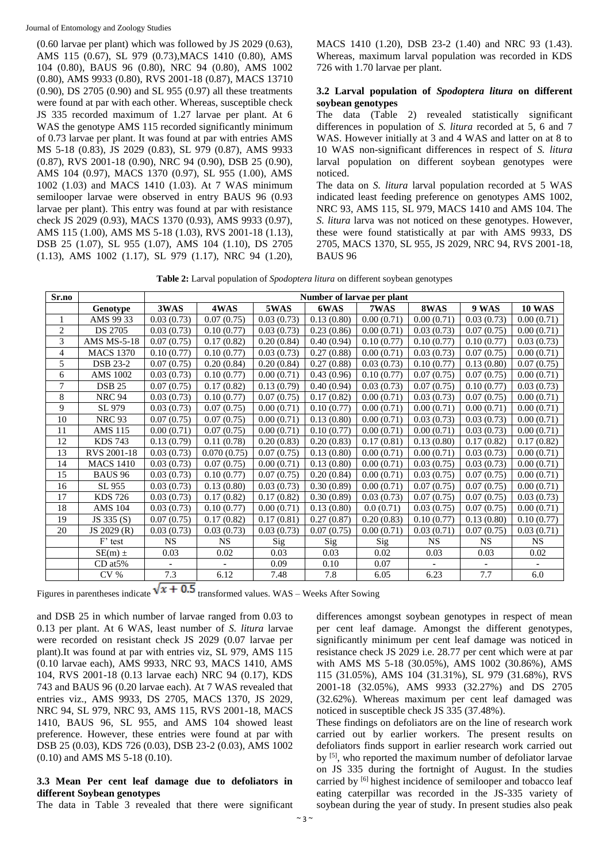(0.60 larvae per plant) which was followed by JS 2029 (0.63), AMS 115 (0.67), SL 979 (0.73),MACS 1410 (0.80), AMS 104 (0.80), BAUS 96 (0.80), NRC 94 (0.80), AMS 1002 (0.80), AMS 9933 (0.80), RVS 2001-18 (0.87), MACS 13710 (0.90), DS 2705 (0.90) and SL 955 (0.97) all these treatments were found at par with each other. Whereas, susceptible check JS 335 recorded maximum of 1.27 larvae per plant. At 6 WAS the genotype AMS 115 recorded significantly minimum of 0.73 larvae per plant. It was found at par with entries AMS MS 5-18 (0.83), JS 2029 (0.83), SL 979 (0.87), AMS 9933 (0.87), RVS 2001-18 (0.90), NRC 94 (0.90), DSB 25 (0.90), AMS 104 (0.97), MACS 1370 (0.97), SL 955 (1.00), AMS 1002 (1.03) and MACS 1410 (1.03). At 7 WAS minimum semilooper larvae were observed in entry BAUS 96 (0.93 larvae per plant). This entry was found at par with resistance check JS 2029 (0.93), MACS 1370 (0.93), AMS 9933 (0.97), AMS 115 (1.00), AMS MS 5-18 (1.03), RVS 2001-18 (1.13), DSB 25 (1.07), SL 955 (1.07), AMS 104 (1.10), DS 2705 (1.13), AMS 1002 (1.17), SL 979 (1.17), NRC 94 (1.20), MACS 1410 (1.20), DSB 23-2 (1.40) and NRC 93 (1.43). Whereas, maximum larval population was recorded in KDS 726 with 1.70 larvae per plant.

#### **3.2 Larval population of** *Spodoptera litura* **on different soybean genotypes**

The data (Table 2) revealed statistically significant differences in population of *S. litura* recorded at 5, 6 and 7 WAS. However initially at 3 and 4 WAS and latter on at 8 to 10 WAS non-significant differences in respect of *S. litura*  larval population on different soybean genotypes were noticed.

The data on *S. litura* larval population recorded at 5 WAS indicated least feeding preference on genotypes AMS 1002, NRC 93, AMS 115, SL 979, MACS 1410 and AMS 104. The *S. litura* larva was not noticed on these genotypes. However, these were found statistically at par with AMS 9933, DS 2705, MACS 1370, SL 955, JS 2029, NRC 94, RVS 2001-18, BAUS 96

**Table 2:** Larval population of *Spodoptera litura* on different soybean genotypes

| Sr.no          |                    | Number of larvae per plant |             |                            |            |            |            |                          |               |  |
|----------------|--------------------|----------------------------|-------------|----------------------------|------------|------------|------------|--------------------------|---------------|--|
|                | Genotype           | 3WAS                       | 4WAS        | 5WAS                       | 6WAS       | 7WAS       | 8WAS       | <b>9 WAS</b>             | <b>10 WAS</b> |  |
| 1              | AMS 99 33          | $\overline{0.03}$ (0.73)   | 0.07(0.75)  | $\overline{0.03}$ $(0.73)$ | 0.13(0.80) | 0.00(0.71) | 0.00(0.71) | $\overline{0.03}$ (0.73) | 0.00(0.71)    |  |
| $\overline{c}$ | DS 2705            | 0.03(0.73)                 | 0.10(0.77)  | 0.03(0.73)                 | 0.23(0.86) | 0.00(0.71) | 0.03(0.73) | 0.07(0.75)               | 0.00(0.71)    |  |
| 3              | <b>AMS MS-5-18</b> | 0.07(0.75)                 | 0.17(0.82)  | 0.20(0.84)                 | 0.40(0.94) | 0.10(0.77) | 0.10(0.77) | 0.10(0.77)               | 0.03(0.73)    |  |
| 4              | <b>MACS 1370</b>   | 0.10(0.77)                 | 0.10(0.77)  | 0.03(0.73)                 | 0.27(0.88) | 0.00(0.71) | 0.03(0.73) | 0.07(0.75)               | 0.00(0.71)    |  |
| 5              | <b>DSB 23-2</b>    | 0.07(0.75)                 | 0.20(0.84)  | 0.20(0.84)                 | 0.27(0.88) | 0.03(0.73) | 0.10(0.77) | 0.13(0.80)               | 0.07(0.75)    |  |
| 6              | <b>AMS 1002</b>    | 0.03(0.73)                 | 0.10(0.77)  | 0.00(0.71)                 | 0.43(0.96) | 0.10(0.77) | 0.07(0.75) | 0.07(0.75)               | 0.00(0.71)    |  |
| 7              | <b>DSB 25</b>      | 0.07(0.75)                 | 0.17(0.82)  | 0.13(0.79)                 | 0.40(0.94) | 0.03(0.73) | 0.07(0.75) | 0.10(0.77)               | 0.03(0.73)    |  |
| 8              | NRC 94             | 0.03(0.73)                 | 0.10(0.77)  | 0.07(0.75)                 | 0.17(0.82) | 0.00(0.71) | 0.03(0.73) | 0.07(0.75)               | 0.00(0.71)    |  |
| 9              | SL 979             | 0.03(0.73)                 | 0.07(0.75)  | 0.00(0.71)                 | 0.10(0.77) | 0.00(0.71) | 0.00(0.71) | 0.00(0.71)               | 0.00(0.71)    |  |
| 10             | <b>NRC 93</b>      | 0.07(0.75)                 | 0.07(0.75)  | 0.00(0.71)                 | 0.13(0.80) | 0.00(0.71) | 0.03(0.73) | 0.03(0.73)               | 0.00(0.71)    |  |
| 11             | <b>AMS 115</b>     | 0.00(0.71)                 | 0.07(0.75)  | 0.00(0.71)                 | 0.10(0.77) | 0.00(0.71) | 0.00(0.71) | 0.03(0.73)               | 0.00(0.71)    |  |
| 12             | <b>KDS 743</b>     | 0.13(0.79)                 | 0.11(0.78)  | 0.20(0.83)                 | 0.20(0.83) | 0.17(0.81) | 0.13(0.80) | 0.17(0.82)               | 0.17(0.82)    |  |
| 13             | RVS 2001-18        | 0.03(0.73)                 | 0.070(0.75) | 0.07(0.75)                 | 0.13(0.80) | 0.00(0.71) | 0.00(0.71) | 0.03(0.73)               | 0.00(0.71)    |  |
| 14             | <b>MACS 1410</b>   | 0.03(0.73)                 | 0.07(0.75)  | 0.00(0.71)                 | 0.13(0.80) | 0.00(0.71) | 0.03(0.75) | 0.03(0.73)               | 0.00(0.71)    |  |
| 15             | <b>BAUS 96</b>     | 0.03(0.73)                 | 0.10(0.77)  | 0.07(0.75)                 | 0.20(0.84) | 0.00(0.71) | 0.03(0.75) | 0.07(0.75)               | 0.00(0.71)    |  |
| 16             | SL 955             | 0.03(0.73)                 | 0.13(0.80)  | 0.03(0.73)                 | 0.30(0.89) | 0.00(0.71) | 0.07(0.75) | 0.07(0.75)               | 0.00(0.71)    |  |
| 17             | <b>KDS 726</b>     | 0.03(0.73)                 | 0.17(0.82)  | 0.17(0.82)                 | 0.30(0.89) | 0.03(0.73) | 0.07(0.75) | 0.07(0.75)               | 0.03(0.73)    |  |
| 18             | <b>AMS 104</b>     | 0.03(0.73)                 | 0.10(0.77)  | 0.00(0.71)                 | 0.13(0.80) | 0.0(0.71)  | 0.03(0.75) | 0.07(0.75)               | 0.00(0.71)    |  |
| 19             | JS 335 (S)         | 0.07(0.75)                 | 0.17(0.82)  | 0.17(0.81)                 | 0.27(0.87) | 0.20(0.83) | 0.10(0.77) | 0.13(0.80)               | 0.10(0.77)    |  |
| 20             | JS 2029 (R)        | 0.03(0.73)                 | 0.03(0.73)  | 0.03(0.73)                 | 0.07(0.75) | 0.00(0.71) | 0.03(0.71) | 0.07(0.75)               | 0.03(0.71)    |  |
|                | F' test            | <b>NS</b>                  | <b>NS</b>   | Sig                        | Sig        | Sig        | <b>NS</b>  | <b>NS</b>                | <b>NS</b>     |  |
|                | $SE(m) \pm$        | 0.03                       | 0.02        | 0.03                       | 0.03       | 0.02       | 0.03       | 0.03                     | 0.02          |  |
|                | CD at 5%           |                            |             | 0.09                       | 0.10       | 0.07       |            | $\blacksquare$           |               |  |
|                | CV <sub>0</sub>    | 7.3                        | 6.12        | 7.48                       | 7.8        | 6.05       | 6.23       | 7.7                      | 6.0           |  |

Figures in parentheses indicate  $\sqrt{x + 0.5}$  transformed values. WAS – Weeks After Sowing

and DSB 25 in which number of larvae ranged from 0.03 to 0.13 per plant. At 6 WAS, least number of *S. litura* larvae were recorded on resistant check JS 2029 (0.07 larvae per plant).It was found at par with entries viz, SL 979, AMS 115 (0.10 larvae each), AMS 9933, NRC 93, MACS 1410, AMS 104, RVS 2001-18 (0.13 larvae each) NRC 94 (0.17), KDS 743 and BAUS 96 (0.20 larvae each). At 7 WAS revealed that entries viz., AMS 9933, DS 2705, MACS 1370, JS 2029, NRC 94, SL 979, NRC 93, AMS 115, RVS 2001-18, MACS 1410, BAUS 96, SL 955, and AMS 104 showed least preference. However, these entries were found at par with DSB 25 (0.03), KDS 726 (0.03), DSB 23-2 (0.03), AMS 1002 (0.10) and AMS MS 5-18 (0.10).

## **3.3 Mean Per cent leaf damage due to defoliators in different Soybean genotypes**

The data in Table 3 revealed that there were significant

differences amongst soybean genotypes in respect of mean per cent leaf damage. Amongst the different genotypes, significantly minimum per cent leaf damage was noticed in resistance check JS 2029 i.e. 28.77 per cent which were at par with AMS MS 5-18 (30.05%), AMS 1002 (30.86%), AMS 115 (31.05%), AMS 104 (31.31%), SL 979 (31.68%), RVS 2001-18 (32.05%), AMS 9933 (32.27%) and DS 2705 (32.62%). Whereas maximum per cent leaf damaged was noticed in susceptible check JS 335 (37.48%).

These findings on defoliators are on the line of research work carried out by earlier workers. The present results on defoliators finds support in earlier research work carried out by <sup>[5]</sup>, who reported the maximum number of defoliator larvae on JS 335 during the fortnight of August. In the studies carried by <sup>[6]</sup> highest incidence of semilooper and tobacco leaf eating caterpillar was recorded in the JS-335 variety of soybean during the year of study. In present studies also peak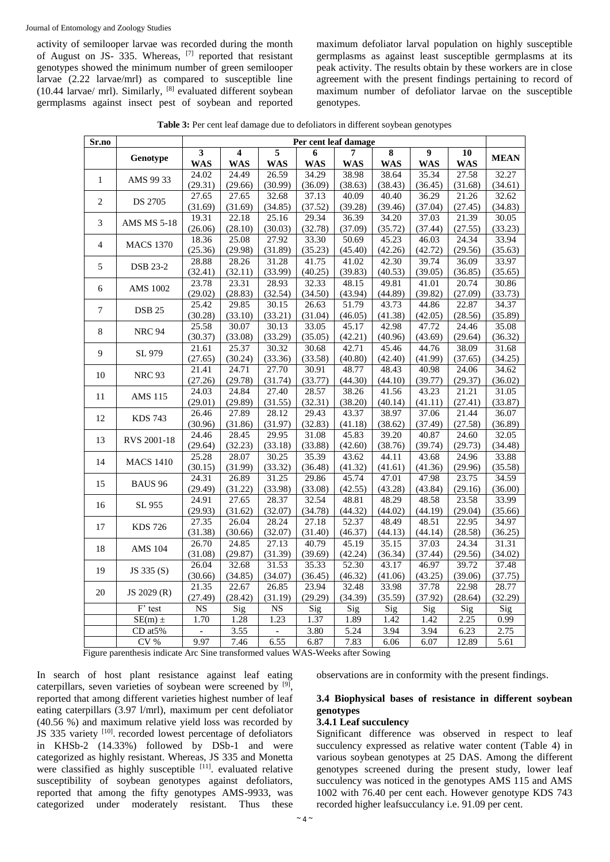activity of semilooper larvae was recorded during the month of August on JS- 335. Whereas, [7] reported that resistant genotypes showed the minimum number of green semilooper larvae (2.22 larvae/mrl) as compared to susceptible line (10.44 larvae/ mrl). Similarly,  $[8]$  evaluated different soybean germplasms against insect pest of soybean and reported maximum defoliator larval population on highly susceptible germplasms as against least susceptible germplasms at its peak activity. The results obtain by these workers are in close agreement with the present findings pertaining to record of maximum number of defoliator larvae on the susceptible genotypes.

Table 3: Per cent leaf damage due to defoliators in different soybean genotypes

| Sr.no          |                     | Per cent leaf damage |                         |                  |                    |                  |                  |                  |                  |                  |
|----------------|---------------------|----------------------|-------------------------|------------------|--------------------|------------------|------------------|------------------|------------------|------------------|
|                |                     | 3                    | $\overline{\mathbf{4}}$ | 5                | 6                  | 7                | 8                | $\boldsymbol{9}$ | 10               |                  |
|                | Genotype            | <b>WAS</b>           | <b>WAS</b>              | <b>WAS</b>       | <b>WAS</b>         | <b>WAS</b>       | <b>WAS</b>       | <b>WAS</b>       | <b>WAS</b>       | <b>MEAN</b>      |
| 1              | AMS 99 33           | 24.02                | 24.49                   | 26.59            | 34.29              | 38.98            | 38.64            | 35.34            | 27.58            | 32.27            |
|                |                     | (29.31)              | (29.66)                 | (30.99)          | (36.09)            | (38.63)          | (38.43)          | (36.45)          | (31.68)          | (34.61)          |
| $\overline{c}$ | DS 2705             | 27.65                | 27.65                   | 32.68            | 37.13              | 40.09            | 40.40            | 36.29            | 21.26            | 32.62            |
|                |                     | (31.69)              | (31.69)                 | (34.85)          | (37.52)            | (39.28)          | (39.46)          | (37.04)          | (27.45)          | (34.83)          |
| 3              | <b>AMS MS 5-18</b>  | 19.31                | 22.18                   | 25.16            | 29.34              | 36.39            | 34.20            | 37.03            | 21.39            | 30.05            |
|                |                     | (26.06)              | (28.10)                 | (30.03)          | (32.78)            | (37.09)          | (35.72)          | (37.44)          | (27.55)          | (33.23)          |
| 4              | <b>MACS 1370</b>    | 18.36                | 25.08                   | 27.92            | 33.30              | 50.69            | 45.23            | 46.03            | 24.34            | 33.94            |
|                |                     | (25.36)              | (29.98)                 | (31.89)          | (35.23)            | (45.40)          | (42.26)          | (42.72)          | (29.56)          | (35.63)          |
| 5              | <b>DSB 23-2</b>     | 28.88<br>(32.41)     | 28.26<br>(32.11)        | 31.28<br>(33.99) | 41.75<br>(40.25)   | 41.02<br>(39.83) | 42.30<br>(40.53) | 39.74<br>(39.05) | 36.09            | 33.97            |
|                |                     | 23.78                | 23.31                   | 28.93            | 32.33              | 48.15            | 49.81            | 41.01            | (36.85)<br>20.74 | (35.65)<br>30.86 |
| 6              | <b>AMS 1002</b>     | (29.02)              | (28.83)                 | (32.54)          | (34.50)            | (43.94)          | (44.89)          | (39.82)          | (27.09)          | (33.73)          |
|                |                     | 25.42                | 29.85                   | 30.15            | 26.63              | 51.79            | 43.73            | 44.86            | 22.87            | 34.37            |
| 7              | <b>DSB 25</b>       | (30.28)              | (33.10)                 | (33.21)          | (31.04)            | (46.05)          | (41.38)          | (42.05)          | (28.56)          | (35.89)          |
|                |                     | 25.58                | 30.07                   | 30.13            | 33.05              | 45.17            | 42.98            | 47.72            | 24.46            | 35.08            |
| 8              | <b>NRC 94</b>       | (30.37)              | (33.08)                 | (33.29)          | (35.05)            | (42.21)          | (40.96)          | (43.69)          | (29.64)          | (36.32)          |
|                |                     | 21.61                | 25.37                   | 30.32            | 30.68              | 42.71            | 45.46            | 44.76            | 38.09            | 31.68            |
| 9              | SL 979              | (27.65)              | (30.24)                 | (33.36)          | (33.58)            | (40.80)          | (42.40)          | (41.99)          | (37.65)          | (34.25)          |
|                |                     | 21.41                | 24.71                   | 27.70            | 30.91              | 48.77            | 48.43            | 40.98            | 24.06            | 34.62            |
| 10             | <b>NRC 93</b>       | (27.26)              | (29.78)                 | (31.74)          | (33.77)            | (44.30)          | (44.10)          | (39.77)          | (29.37)          | (36.02)          |
| 11             | <b>AMS 115</b>      | 24.03                | 24.84                   | 27.40            | 28.57              | 38.26            | 41.56            | 43.23            | 21.21            | 31.05            |
|                |                     | (29.01)              | (29.89)                 | (31.55)          | (32.31)            | (38.20)          | (40.14)          | (41.11)          | (27.41)          | (33.87)          |
| 12             | <b>KDS 743</b>      | 26.46                | 27.89                   | 28.12            | $\overline{29.43}$ | 43.37            | 38.97            | 37.06            | 21.44            | 36.07            |
|                |                     | (30.96)              | (31.86)                 | (31.97)          | (32.83)            | (41.18)          | (38.62)          | (37.49)          | (27.58)          | (36.89)          |
| 13             | RVS 2001-18         | 24.46                | 28.45                   | 29.95            | 31.08              | 45.83            | 39.20            | 40.87            | 24.60            | 32.05            |
|                |                     | (29.64)              | (32.23)                 | (33.18)          | (33.88)            | (42.60)          | (38.76)          | (39.74)          | (29.73)          | (34.48)          |
| 14             | <b>MACS 1410</b>    | 25.28                | 28.07                   | 30.25            | 35.39              | 43.62            | 44.11            | 43.68            | 24.96            | 33.88            |
|                |                     | (30.15)              | (31.99)                 | (33.32)          | (36.48)            | (41.32)          | (41.61)          | (41.36)          | (29.96)          | (35.58)          |
| 15             | <b>BAUS 96</b>      | 24.31<br>(29.49)     | 26.89<br>(31.22)        | 31.25<br>(33.98) | 29.86<br>(33.08)   | 45.74<br>(42.55) | 47.01<br>(43.28) | 47.98<br>(43.84) | 23.75<br>(29.16) | 34.59<br>(36.00) |
|                |                     | 24.91                | 27.65                   | 28.37            | 32.54              | 48.81            | 48.29            | 48.58            | 23.58            | 33.99            |
| 16             | SL 955              | (29.93)              | (31.62)                 | (32.07)          | (34.78)            | (44.32)          | (44.02)          | (44.19)          | (29.04)          | (35.66)          |
|                |                     | 27.35                | 26.04                   | 28.24            | 27.18              | 52.37            | 48.49            | 48.51            | 22.95            | 34.97            |
| 17             | <b>KDS</b> 726      | (31.38)              | (30.66)                 | (32.07)          | (31.40)            | (46.37)          | (44.13)          | (44.14)          | (28.58)          | (36.25)          |
|                |                     | 26.70                | 24.85                   | 27.13            | 40.79              | 45.19            | 35.15            | 37.03            | 24.34            | 31.31            |
| 18             | <b>AMS 104</b>      | (31.08)              | (29.87)                 | (31.39)          | (39.69)            | (42.24)          | (36.34)          | (37.44)          | (29.56)          | (34.02)          |
|                |                     | 26.04                | 32.68                   | 31.53            | 35.33              | 52.30            | 43.17            | 46.97            | 39.72            | 37.48            |
| 19             | JS 335 (S)          | (30.66)              | (34.85)                 | (34.07)          | (36.45)            | (46.32)          | (41.06)          | (43.25)          | (39.06)          | (37.75)          |
| 20             | JS 2029 (R)         | 21.35                | 22.67                   | 26.85            | 23.94              | 32.48            | 33.98            | 37.78            | 22.98            | 28.77            |
|                |                     | (27.49)              | (28.42)                 | (31.19)          | (29.29)            | (34.39)          | (35.59)          | (37.92)          | (28.64)          | (32.29)          |
|                | $\overline{F}$ test | <b>NS</b>            | Sig                     | NS               | Sig                | Sig              | Sig              | Sig              | Sig              | Sig              |
|                | $SE(m) \pm$         | 1.70                 | 1.28                    | 1.23             | 1.37               | 1.89             | 1.42             | 1.42             | 2.25             | 0.99             |
|                | CD at 5%            | $\blacksquare$       | 3.55                    |                  | 3.80               | 5.24             | 3.94             | 3.94             | 6.23             | 2.75             |
|                | CV %                | 9.97                 | 7.46                    | 6.55             | 6.87               | 7.83             | 6.06             | 6.07             | 12.89            | 5.61             |

Figure parenthesis indicate Arc Sine transformed values WAS-Weeks after Sowing

In search of host plant resistance against leaf eating caterpillars, seven varieties of soybean were screened by [9], reported that among different varieties highest number of leaf eating caterpillars (3.97 l/mrl), maximum per cent defoliator (40.56 %) and maximum relative yield loss was recorded by JS 335 variety  $[10]$ . recorded lowest percentage of defoliators in KHSb-2 (14.33%) followed by DSb-1 and were categorized as highly resistant. Whereas, JS 335 and Monetta were classified as highly susceptible  $[11]$ . evaluated relative susceptibility of soybean genotypes against defoliators, reported that among the fifty genotypes AMS-9933, was categorized under moderately resistant. Thus these

observations are in conformity with the present findings.

## **3.4 Biophysical bases of resistance in different soybean genotypes**

#### **3.4.1 Leaf succulency**

Significant difference was observed in respect to leaf succulency expressed as relative water content (Table 4) in various soybean genotypes at 25 DAS. Among the different genotypes screened during the present study, lower leaf succulency was noticed in the genotypes AMS 115 and AMS 1002 with 76.40 per cent each. However genotype KDS 743 recorded higher leafsucculancy i.e. 91.09 per cent.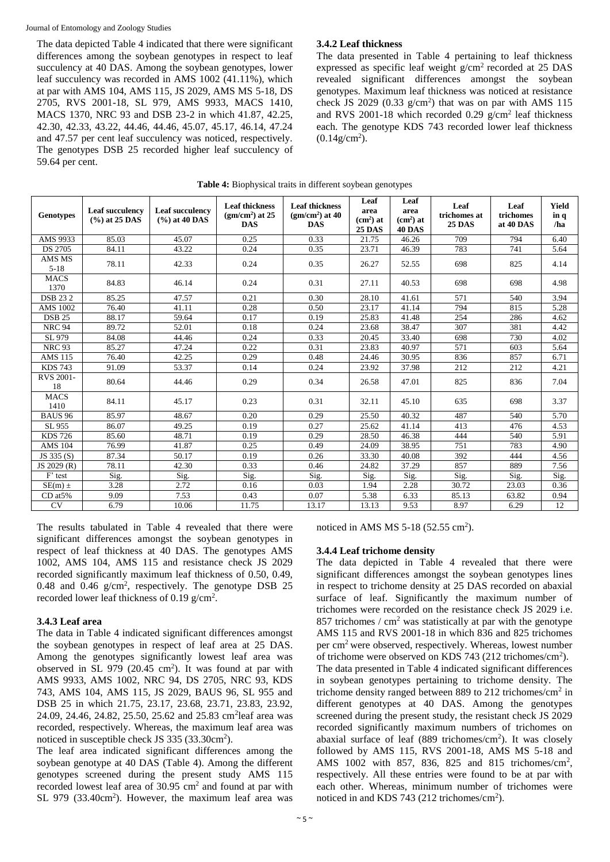#### Journal of Entomology and Zoology Studies

The data depicted Table 4 indicated that there were significant differences among the soybean genotypes in respect to leaf succulency at 40 DAS. Among the soybean genotypes, lower leaf succulency was recorded in AMS 1002 (41.11%), which at par with AMS 104, AMS 115, JS 2029, AMS MS 5-18, DS 2705, RVS 2001-18, SL 979, AMS 9933, MACS 1410, MACS 1370, NRC 93 and DSB 23-2 in which 41.87, 42.25, 42.30, 42.33, 43.22, 44.46, 44.46, 45.07, 45.17, 46.14, 47.24 and 47.57 per cent leaf succulency was noticed, respectively. The genotypes DSB 25 recorded higher leaf succulency of 59.64 per cent.

#### **3.4.2 Leaf thickness**

The data presented in Table 4 pertaining to leaf thickness expressed as specific leaf weight g/cm<sup>2</sup> recorded at 25 DAS revealed significant differences amongst the soybean genotypes. Maximum leaf thickness was noticed at resistance check JS 2029 (0.33  $g/cm<sup>2</sup>$ ) that was on par with AMS 115 and RVS 2001-18 which recorded 0.29  $g/cm<sup>2</sup>$  leaf thickness each. The genotype KDS 743 recorded lower leaf thickness  $(0.14 g/cm<sup>2</sup>)$ .

| <b>Genotypes</b>    | Leaf succulency<br>$(%)$ at 25 DAS | Leaf succulency<br>$(%$ ) at 40 DAS | <b>Leaf thickness</b><br>$(gm/cm2)$ at 25<br><b>DAS</b> | <b>Leaf thickness</b><br>$(gm/cm2)$ at 40<br><b>DAS</b> | Leaf<br>area<br>$(cm2)$ at<br><b>25 DAS</b> | Leaf<br>area<br>$(cm2)$ at<br>40 DAS | Leaf<br>trichomes at<br><b>25 DAS</b> | Leaf<br>trichomes<br>at 40 DAS | Yield<br>in q<br>/ha |
|---------------------|------------------------------------|-------------------------------------|---------------------------------------------------------|---------------------------------------------------------|---------------------------------------------|--------------------------------------|---------------------------------------|--------------------------------|----------------------|
| AMS 9933            | 85.03                              | 45.07                               | 0.25                                                    | 0.33                                                    | 21.75                                       | 46.26                                | 709                                   | 794                            | 6.40                 |
| <b>DS 2705</b>      | 84.11                              | 43.22                               | 0.24                                                    | 0.35                                                    | 23.71                                       | 46.39                                | 783                                   | 741                            | 5.64                 |
| AMS MS<br>$5 - 18$  | 78.11                              | 42.33                               | 0.24                                                    | 0.35                                                    | 26.27                                       | 52.55                                | 698                                   | 825                            | 4.14                 |
| <b>MACS</b><br>1370 | 84.83                              | 46.14                               | 0.24                                                    | 0.31                                                    | 27.11                                       | 40.53                                | 698                                   | 698                            | 4.98                 |
| <b>DSB 232</b>      | 85.25                              | 47.57                               | 0.21                                                    | 0.30                                                    | 28.10                                       | 41.61                                | 571                                   | 540                            | 3.94                 |
| <b>AMS 1002</b>     | 76.40                              | 41.11                               | 0.28                                                    | 0.50                                                    | 23.17                                       | 41.14                                | 794                                   | 815                            | 5.28                 |
| <b>DSB 25</b>       | 88.17                              | 59.64                               | 0.17                                                    | 0.19                                                    | 25.83                                       | 41.48                                | 254                                   | 286                            | 4.62                 |
| <b>NRC 94</b>       | 89.72                              | 52.01                               | 0.18                                                    | 0.24                                                    | 23.68                                       | 38.47                                | 307                                   | 381                            | 4.42                 |
| SL 979              | 84.08                              | 44.46                               | 0.24                                                    | 0.33                                                    | 20.45                                       | 33.40                                | 698                                   | 730                            | 4.02                 |
| <b>NRC 93</b>       | 85.27                              | 47.24                               | 0.22                                                    | 0.31                                                    | 23.83                                       | 40.97                                | 571                                   | 603                            | 5.64                 |
| <b>AMS 115</b>      | 76.40                              | 42.25                               | 0.29                                                    | 0.48                                                    | 24.46                                       | 30.95                                | 836                                   | 857                            | 6.71                 |
| <b>KDS 743</b>      | 91.09                              | 53.37                               | 0.14                                                    | 0.24                                                    | 23.92                                       | 37.98                                | 212                                   | 212                            | 4.21                 |
| RVS 2001-<br>18     | 80.64                              | 44.46                               | 0.29                                                    | 0.34                                                    | 26.58                                       | 47.01                                | 825                                   | 836                            | 7.04                 |
| <b>MACS</b><br>1410 | 84.11                              | 45.17                               | 0.23                                                    | 0.31                                                    | 32.11                                       | 45.10                                | 635                                   | 698                            | 3.37                 |
| <b>BAUS 96</b>      | 85.97                              | 48.67                               | 0.20                                                    | 0.29                                                    | 25.50                                       | 40.32                                | 487                                   | 540                            | 5.70                 |
| SL 955              | 86.07                              | 49.25                               | 0.19                                                    | 0.27                                                    | 25.62                                       | 41.14                                | 413                                   | 476                            | 4.53                 |
| <b>KDS 726</b>      | 85.60                              | 48.71                               | 0.19                                                    | 0.29                                                    | 28.50                                       | 46.38                                | 444                                   | 540                            | 5.91                 |
| <b>AMS 104</b>      | 76.99                              | 41.87                               | 0.25                                                    | 0.49                                                    | 24.09                                       | 38.95                                | 751                                   | 783                            | 4.90                 |
| JS 335 (S)          | 87.34                              | 50.17                               | 0.19                                                    | 0.26                                                    | 33.30                                       | 40.08                                | 392                                   | 444                            | 4.56                 |
| JS 2029 (R)         | 78.11                              | 42.30                               | 0.33                                                    | 0.46                                                    | 24.82                                       | 37.29                                | 857                                   | 889                            | 7.56                 |
| F' test             | Sig.                               | Sig.                                | Sig.                                                    | Sig.                                                    | Sig.                                        | Sig.                                 | Sig.                                  | Sig.                           | Sig.                 |
| $SE(m) \pm$         | 3.28                               | 2.72                                | 0.16                                                    | 0.03                                                    | 1.94                                        | 2.28                                 | 30.72                                 | 23.03                          | 0.36                 |
| CD at 5%            | 9.09                               | 7.53                                | 0.43                                                    | 0.07                                                    | 5.38                                        | 6.33                                 | 85.13                                 | 63.82                          | 0.94                 |
| CV                  | 6.79                               | 10.06                               | 11.75                                                   | 13.17                                                   | 13.13                                       | 9.53                                 | 8.97                                  | 6.29                           | 12                   |

## **Table 4:** Biophysical traits in different soybean genotypes

The results tabulated in Table 4 revealed that there were significant differences amongst the soybean genotypes in respect of leaf thickness at 40 DAS. The genotypes AMS 1002, AMS 104, AMS 115 and resistance check JS 2029 recorded significantly maximum leaf thickness of 0.50, 0.49, 0.48 and 0.46  $g/cm^2$ , respectively. The genotype DSB 25 recorded lower leaf thickness of 0.19  $g/cm<sup>2</sup>$ .

## **3.4.3 Leaf area**

The data in Table 4 indicated significant differences amongst the soybean genotypes in respect of leaf area at 25 DAS. Among the genotypes significantly lowest leaf area was observed in SL 979 (20.45  $\text{cm}^2$ ). It was found at par with AMS 9933, AMS 1002, NRC 94, DS 2705, NRC 93, KDS 743, AMS 104, AMS 115, JS 2029, BAUS 96, SL 955 and DSB 25 in which 21.75, 23.17, 23.68, 23.71, 23.83, 23.92, 24.09, 24.46, 24.82, 25.50, 25.62 and 25.83 cm<sup>2</sup> leaf area was recorded, respectively. Whereas, the maximum leaf area was noticed in susceptible check JS 335 (33.30cm<sup>2</sup>).

The leaf area indicated significant differences among the soybean genotype at 40 DAS (Table 4). Among the different genotypes screened during the present study AMS 115 recorded lowest leaf area of  $30.95 \text{ cm}^2$  and found at par with SL 979 (33.40cm<sup>2</sup>). However, the maximum leaf area was noticed in AMS MS  $5-18$  (52.55 cm<sup>2</sup>).

#### **3.4.4 Leaf trichome density**

The data depicted in Table 4 revealed that there were significant differences amongst the soybean genotypes lines in respect to trichome density at 25 DAS recorded on abaxial surface of leaf. Significantly the maximum number of trichomes were recorded on the resistance check JS 2029 i.e. 857 trichomes /  $\text{cm}^2$  was statistically at par with the genotype AMS 115 and RVS 2001-18 in which 836 and 825 trichomes per cm<sup>2</sup> were observed, respectively. Whereas, lowest number of trichome were observed on KDS 743 (212 trichomes/cm<sup>2</sup>). The data presented in Table 4 indicated significant differences in soybean genotypes pertaining to trichome density. The trichome density ranged between 889 to 212 trichomes/cm<sup>2</sup> in different genotypes at 40 DAS. Among the genotypes screened during the present study, the resistant check JS 2029 recorded significantly maximum numbers of trichomes on abaxial surface of leaf (889 trichomes/cm<sup>2</sup> ). It was closely followed by AMS 115, RVS 2001-18, AMS MS 5-18 and AMS 1002 with 857, 836, 825 and 815 trichomes/cm<sup>2</sup> , respectively. All these entries were found to be at par with each other. Whereas, minimum number of trichomes were noticed in and KDS 743 (212 trichomes/cm<sup>2</sup>).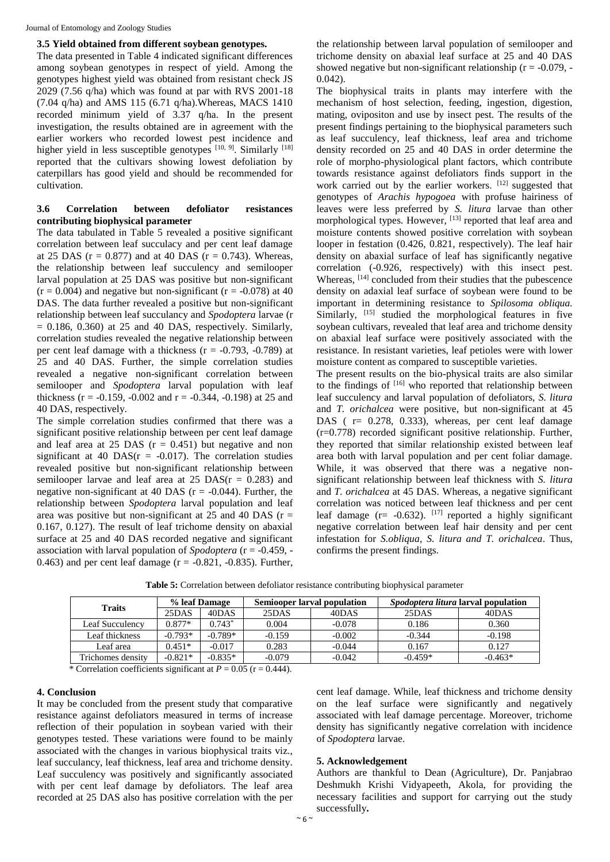## **3.5 Yield obtained from different soybean genotypes.**

The data presented in Table 4 indicated significant differences among soybean genotypes in respect of yield. Among the genotypes highest yield was obtained from resistant check JS 2029 (7.56 q/ha) which was found at par with RVS 2001-18 (7.04 q/ha) and AMS 115 (6.71 q/ha).Whereas, MACS 1410 recorded minimum yield of 3.37 q/ha. In the present investigation, the results obtained are in agreement with the earlier workers who recorded lowest pest incidence and higher yield in less susceptible genotypes [10, 9]. Similarly [18] reported that the cultivars showing lowest defoliation by caterpillars has good yield and should be recommended for cultivation.

## **3.6 Correlation between defoliator resistances contributing biophysical parameter**

The data tabulated in Table 5 revealed a positive significant correlation between leaf succulacy and per cent leaf damage at 25 DAS ( $r = 0.877$ ) and at 40 DAS ( $r = 0.743$ ). Whereas, the relationship between leaf succulency and semilooper larval population at 25 DAS was positive but non-significant  $(r = 0.004)$  and negative but non-significant  $(r = -0.078)$  at 40 DAS. The data further revealed a positive but non-significant relationship between leaf succulancy and *Spodoptera* larvae (r  $= 0.186, 0.360$  at 25 and 40 DAS, respectively. Similarly, correlation studies revealed the negative relationship between per cent leaf damage with a thickness  $(r = -0.793, -0.789)$  at 25 and 40 DAS. Further, the simple correlation studies revealed a negative non-significant correlation between semilooper and *Spodoptera* larval population with leaf thickness ( $r = -0.159, -0.002$  and  $r = -0.344, -0.198$ ) at 25 and 40 DAS, respectively.

The simple correlation studies confirmed that there was a significant positive relationship between per cent leaf damage and leaf area at 25 DAS  $(r = 0.451)$  but negative and non significant at 40 DAS( $r = -0.017$ ). The correlation studies revealed positive but non-significant relationship between semilooper larvae and leaf area at  $25$  DAS( $r = 0.283$ ) and negative non-significant at 40 DAS ( $r = -0.044$ ). Further, the relationship between *Spodoptera* larval population and leaf area was positive but non-significant at  $25$  and 40 DAS (r = 0.167, 0.127). The result of leaf trichome density on abaxial surface at 25 and 40 DAS recorded negative and significant association with larval population of *Spodoptera* (r = -0.459, - 0.463) and per cent leaf damage ( $r = -0.821, -0.835$ ). Further,

the relationship between larval population of semilooper and trichome density on abaxial leaf surface at 25 and 40 DAS showed negative but non-significant relationship ( $r = -0.079$ , -0.042).

The biophysical traits in plants may interfere with the mechanism of host selection, feeding, ingestion, digestion, mating, ovipositon and use by insect pest. The results of the present findings pertaining to the biophysical parameters such as leaf succulency, leaf thickness, leaf area and trichome density recorded on 25 and 40 DAS in order determine the role of morpho-physiological plant factors, which contribute towards resistance against defoliators finds support in the work carried out by the earlier workers.  $[12]$  suggested that genotypes of *Arachis hypogoea* with profuse hairiness of leaves were less preferred by *S. litura* larvae than other morphological types. However, <sup>[13]</sup> reported that leaf area and moisture contents showed positive correlation with soybean looper in festation (0.426, 0.821, respectively). The leaf hair density on abaxial surface of leaf has significantly negative correlation (-0.926, respectively) with this insect pest. Whereas, <sup>[14]</sup> concluded from their studies that the pubescence density on adaxial leaf surface of soybean were found to be important in determining resistance to *Spilosoma obliqua.*  Similarly, <sup>[15]</sup> studied the morphological features in five soybean cultivars, revealed that leaf area and trichome density on abaxial leaf surface were positively associated with the resistance. In resistant varieties, leaf petioles were with lower moisture content as compared to susceptible varieties.

The present results on the bio-physical traits are also similar to the findings of <sup>[16]</sup> who reported that relationship between leaf succulency and larval population of defoliators, *S. litura*  and *T. orichalcea* were positive, but non-significant at 45 DAS ( $r = 0.278$ , 0.333), whereas, per cent leaf damage  $(r=0.778)$  recorded significant positive relationship. Further, they reported that similar relationship existed between leaf area both with larval population and per cent foliar damage. While, it was observed that there was a negative nonsignificant relationship between leaf thickness with *S. litura*  and *T. orichalcea* at 45 DAS. Whereas, a negative significant correlation was noticed between leaf thickness and per cent leaf damage ( $r = -0.632$ ). [17] reported a highly significant negative correlation between leaf hair density and per cent infestation for *S.obliqua*, *S. litura and T. orichalcea*. Thus, confirms the present findings.

| <b>Traits</b>     | % leaf Damage |           | Semiooper larval population |          | <i>Spodoptera litura</i> larval population |           |  |
|-------------------|---------------|-----------|-----------------------------|----------|--------------------------------------------|-----------|--|
|                   | 25DAS         | 40DAS     | 25DAS                       | 40DAS    | 25DAS                                      | 40DAS     |  |
| Leaf Succulencv   | $0.877*$      | $0.743*$  | 0.004                       | $-0.078$ | 0.186                                      | 0.360     |  |
| Leaf thickness    | $-0.793*$     | $-0.789*$ | $-0.159$                    | $-0.002$ | $-0.344$                                   | $-0.198$  |  |
| Leaf area         | $0.451*$      | $-0.017$  | 0.283                       | $-0.044$ | 0.167                                      | 0.127     |  |
| Trichomes density | $-0.821*$     | $-0.835*$ | $-0.079$                    | $-0.042$ | $-0.459*$                                  | $-0.463*$ |  |

**Table 5:** Correlation between defoliator resistance contributing biophysical parameter

\* Correlation coefficients significant at  $P = 0.05$  ( $r = 0.444$ ).

## **4. Conclusion**

It may be concluded from the present study that comparative resistance against defoliators measured in terms of increase reflection of their population in soybean varied with their genotypes tested. These variations were found to be mainly associated with the changes in various biophysical traits viz., leaf succulancy, leaf thickness, leaf area and trichome density. Leaf succulency was positively and significantly associated with per cent leaf damage by defoliators. The leaf area recorded at 25 DAS also has positive correlation with the per

cent leaf damage. While, leaf thickness and trichome density on the leaf surface were significantly and negatively associated with leaf damage percentage. Moreover, trichome density has significantly negative correlation with incidence of *Spodoptera* larvae.

#### **5. Acknowledgement**

Authors are thankful to Dean (Agriculture), Dr. Panjabrao Deshmukh Krishi Vidyapeeth, Akola, for providing the necessary facilities and support for carrying out the study successfully**.**